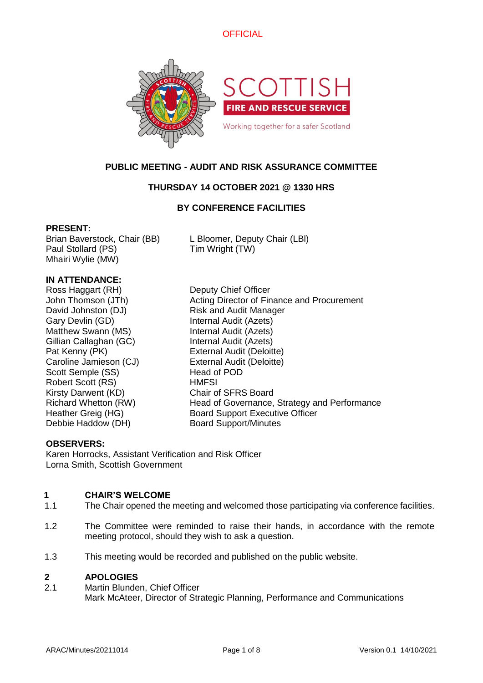



# **PUBLIC MEETING - AUDIT AND RISK ASSURANCE COMMITTEE**

# **THURSDAY 14 OCTOBER 2021 @ 1330 HRS**

# **BY CONFERENCE FACILITIES**

### **PRESENT:**

Paul Stollard (PS) Tim Wright (TW) Mhairi Wylie (MW)

Brian Baverstock, Chair (BB) L Bloomer, Deputy Chair (LBl)

# **IN ATTENDANCE:**

Ross Haggart (RH) Deputy Chief Officer Gary Devlin (GD) Internal Audit (Azets) Matthew Swann (MS) **Internal Audit (Azets)** Gillian Callaghan (GC) Internal Audit (Azets) Pat Kenny (PK) External Audit (Deloitte) Caroline Jamieson (CJ) External Audit (Deloitte) Scott Semple (SS) Head of POD Robert Scott (RS) HMFSI Kirsty Darwent (KD) Chair of SFRS Board Debbie Haddow (DH) Board Support/Minutes

John Thomson (JTh) Acting Director of Finance and Procurement David Johnston (DJ) Risk and Audit Manager Richard Whetton (RW) Head of Governance, Strategy and Performance Heather Greig (HG) Board Support Executive Officer

# **OBSERVERS:**

Karen Horrocks, Assistant Verification and Risk Officer Lorna Smith, Scottish Government

# **1 CHAIR'S WELCOME**

- 1.1 The Chair opened the meeting and welcomed those participating via conference facilities.
- 1.2 The Committee were reminded to raise their hands, in accordance with the remote meeting protocol, should they wish to ask a question.
- 1.3 This meeting would be recorded and published on the public website.

### **2 APOLOGIES**

2.1 Martin Blunden, Chief Officer Mark McAteer, Director of Strategic Planning, Performance and Communications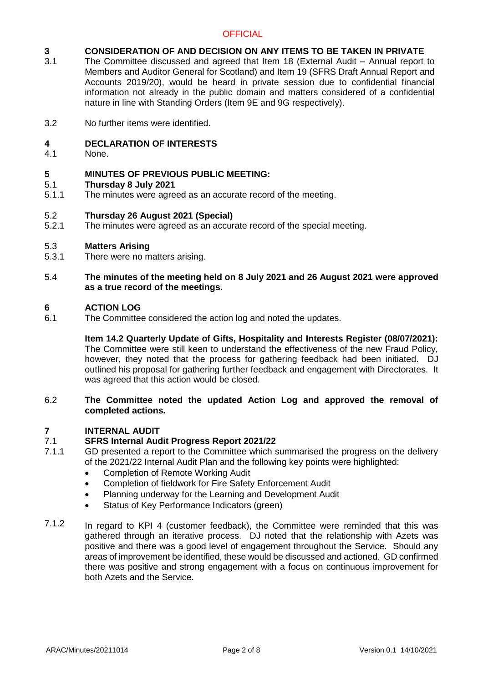# **3 CONSIDERATION OF AND DECISION ON ANY ITEMS TO BE TAKEN IN PRIVATE**

- 3.1 The Committee discussed and agreed that Item 18 (External Audit – Annual report to Members and Auditor General for Scotland) and Item 19 (SFRS Draft Annual Report and Accounts 2019/20), would be heard in private session due to confidential financial information not already in the public domain and matters considered of a confidential nature in line with Standing Orders (Item 9E and 9G respectively).
- 3.2 No further items were identified.

#### **4 DECLARATION OF INTERESTS**

4.1 None.

### **5 MINUTES OF PREVIOUS PUBLIC MEETING:**

#### 5.1 **Thursday 8 July 2021**

5.1.1 The minutes were agreed as an accurate record of the meeting.

#### 5.2 **Thursday 26 August 2021 (Special)**

5.2.1 The minutes were agreed as an accurate record of the special meeting.

#### 5.3 **Matters Arising**

5.3.1 There were no matters arising.

### 5.4 **The minutes of the meeting held on 8 July 2021 and 26 August 2021 were approved as a true record of the meetings.**

### **6 ACTION LOG**

6.1 The Committee considered the action log and noted the updates.

### **Item 14.2 Quarterly Update of Gifts, Hospitality and Interests Register (08/07/2021):**  The Committee were still keen to understand the effectiveness of the new Fraud Policy, however, they noted that the process for gathering feedback had been initiated. DJ outlined his proposal for gathering further feedback and engagement with Directorates. It was agreed that this action would be closed.

### 6.2 **The Committee noted the updated Action Log and approved the removal of completed actions.**

#### **7 INTERNAL AUDIT**

### 7.1 **SFRS Internal Audit Progress Report 2021/22**

- 7.1.1 GD presented a report to the Committee which summarised the progress on the delivery of the 2021/22 Internal Audit Plan and the following key points were highlighted:
	- Completion of Remote Working Audit
	- Completion of fieldwork for Fire Safety Enforcement Audit
	- Planning underway for the Learning and Development Audit
	- Status of Key Performance Indicators (green)
- 7.1.2 In regard to KPI 4 (customer feedback), the Committee were reminded that this was gathered through an iterative process. DJ noted that the relationship with Azets was positive and there was a good level of engagement throughout the Service. Should any areas of improvement be identified, these would be discussed and actioned. GD confirmed there was positive and strong engagement with a focus on continuous improvement for both Azets and the Service.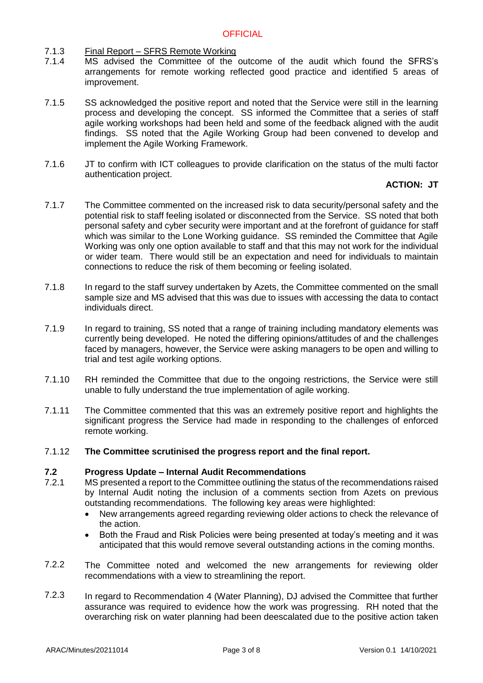- 7.1.3 Final Report – SFRS Remote Working
- 7.1.4 MS advised the Committee of the outcome of the audit which found the SFRS's arrangements for remote working reflected good practice and identified 5 areas of improvement.
- 7.1.5 SS acknowledged the positive report and noted that the Service were still in the learning process and developing the concept. SS informed the Committee that a series of staff agile working workshops had been held and some of the feedback aligned with the audit findings. SS noted that the Agile Working Group had been convened to develop and implement the Agile Working Framework.
- 7.1.6 JT to confirm with ICT colleagues to provide clarification on the status of the multi factor authentication project.

### **ACTION: JT**

- 7.1.7 The Committee commented on the increased risk to data security/personal safety and the potential risk to staff feeling isolated or disconnected from the Service. SS noted that both personal safety and cyber security were important and at the forefront of guidance for staff which was similar to the Lone Working guidance. SS reminded the Committee that Agile Working was only one option available to staff and that this may not work for the individual or wider team. There would still be an expectation and need for individuals to maintain connections to reduce the risk of them becoming or feeling isolated.
- 7.1.8 In regard to the staff survey undertaken by Azets, the Committee commented on the small sample size and MS advised that this was due to issues with accessing the data to contact individuals direct.
- 7.1.9 In regard to training, SS noted that a range of training including mandatory elements was currently being developed. He noted the differing opinions/attitudes of and the challenges faced by managers, however, the Service were asking managers to be open and willing to trial and test agile working options.
- 7.1.10 RH reminded the Committee that due to the ongoing restrictions, the Service were still unable to fully understand the true implementation of agile working.
- 7.1.11 The Committee commented that this was an extremely positive report and highlights the significant progress the Service had made in responding to the challenges of enforced remote working.

#### 7.1.12 **The Committee scrutinised the progress report and the final report.**

#### **7.2 Progress Update – Internal Audit Recommendations**

- 7.2.1 MS presented a report to the Committee outlining the status of the recommendations raised by Internal Audit noting the inclusion of a comments section from Azets on previous outstanding recommendations. The following key areas were highlighted:
	- New arrangements agreed regarding reviewing older actions to check the relevance of the action.
	- Both the Fraud and Risk Policies were being presented at today's meeting and it was anticipated that this would remove several outstanding actions in the coming months.
- 7.2.2 The Committee noted and welcomed the new arrangements for reviewing older recommendations with a view to streamlining the report.
- 7.2.3 In regard to Recommendation 4 (Water Planning), DJ advised the Committee that further assurance was required to evidence how the work was progressing. RH noted that the overarching risk on water planning had been deescalated due to the positive action taken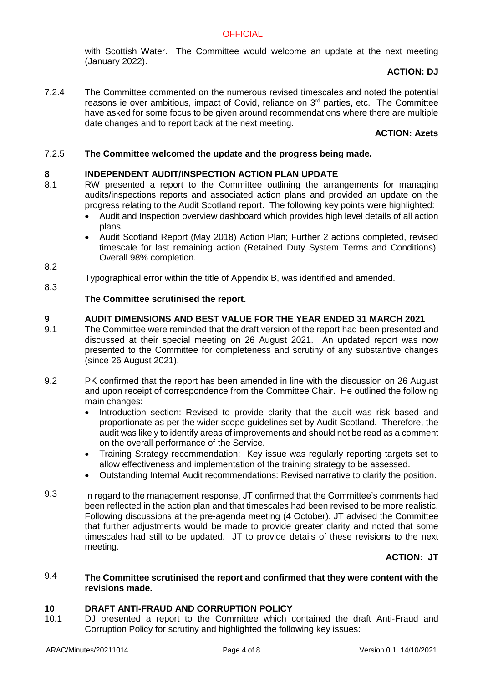with Scottish Water. The Committee would welcome an update at the next meeting (January 2022).

# **ACTION: DJ**

7.2.4 The Committee commented on the numerous revised timescales and noted the potential reasons ie over ambitious, impact of Covid, reliance on  $3<sup>rd</sup>$  parties, etc. The Committee have asked for some focus to be given around recommendations where there are multiple date changes and to report back at the next meeting.

### **ACTION: Azets**

### 7.2.5 **The Committee welcomed the update and the progress being made.**

### **8 INDEPENDENT AUDIT/INSPECTION ACTION PLAN UPDATE**

- 8.1 RW presented a report to the Committee outlining the arrangements for managing audits/inspections reports and associated action plans and provided an update on the progress relating to the Audit Scotland report. The following key points were highlighted:
	- Audit and Inspection overview dashboard which provides high level details of all action plans.
	- Audit Scotland Report (May 2018) Action Plan: Further 2 actions completed, revised timescale for last remaining action (Retained Duty System Terms and Conditions). Overall 98% completion.
- 8.2

8.3

Typographical error within the title of Appendix B, was identified and amended.

### **The Committee scrutinised the report.**

#### **9 AUDIT DIMENSIONS AND BEST VALUE FOR THE YEAR ENDED 31 MARCH 2021**

- 9.1 The Committee were reminded that the draft version of the report had been presented and discussed at their special meeting on 26 August 2021. An updated report was now presented to the Committee for completeness and scrutiny of any substantive changes (since 26 August 2021).
- 9.2 PK confirmed that the report has been amended in line with the discussion on 26 August and upon receipt of correspondence from the Committee Chair. He outlined the following main changes:
	- Introduction section: Revised to provide clarity that the audit was risk based and proportionate as per the wider scope guidelines set by Audit Scotland. Therefore, the audit was likely to identify areas of improvements and should not be read as a comment on the overall performance of the Service.
	- Training Strategy recommendation: Key issue was regularly reporting targets set to allow effectiveness and implementation of the training strategy to be assessed.
	- Outstanding Internal Audit recommendations: Revised narrative to clarify the position.
- 9.3 In regard to the management response, JT confirmed that the Committee's comments had been reflected in the action plan and that timescales had been revised to be more realistic. Following discussions at the pre-agenda meeting (4 October), JT advised the Committee that further adjustments would be made to provide greater clarity and noted that some timescales had still to be updated. JT to provide details of these revisions to the next meeting.

# **ACTION: JT**

### 9.4 **The Committee scrutinised the report and confirmed that they were content with the revisions made.**

### **10 DRAFT ANTI-FRAUD AND CORRUPTION POLICY**

10.1 DJ presented a report to the Committee which contained the draft Anti-Fraud and Corruption Policy for scrutiny and highlighted the following key issues: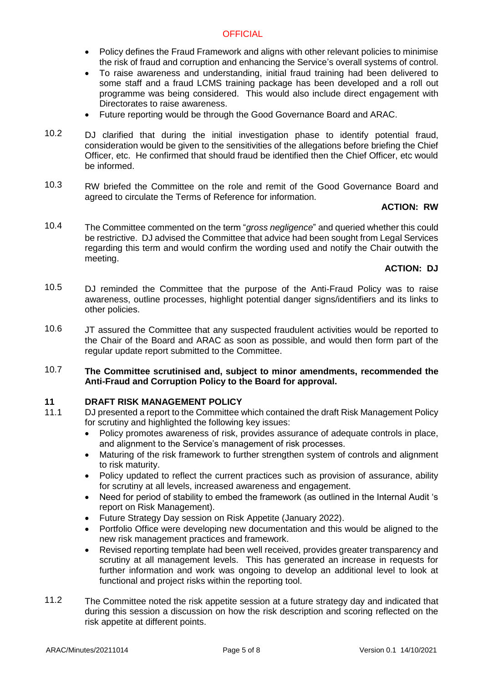- Policy defines the Fraud Framework and aligns with other relevant policies to minimise the risk of fraud and corruption and enhancing the Service's overall systems of control.
- To raise awareness and understanding, initial fraud training had been delivered to some staff and a fraud LCMS training package has been developed and a roll out programme was being considered. This would also include direct engagement with Directorates to raise awareness.
- Future reporting would be through the Good Governance Board and ARAC.
- 10.2 DJ clarified that during the initial investigation phase to identify potential fraud, consideration would be given to the sensitivities of the allegations before briefing the Chief Officer, etc. He confirmed that should fraud be identified then the Chief Officer, etc would be informed.
- 10.3 RW briefed the Committee on the role and remit of the Good Governance Board and agreed to circulate the Terms of Reference for information.

# **ACTION: RW**

10.4 The Committee commented on the term "*gross negligence*" and queried whether this could be restrictive. DJ advised the Committee that advice had been sought from Legal Services regarding this term and would confirm the wording used and notify the Chair outwith the meeting.

# **ACTION: DJ**

- 10.5 DJ reminded the Committee that the purpose of the Anti-Fraud Policy was to raise awareness, outline processes, highlight potential danger signs/identifiers and its links to other policies.
- 10.6 JT assured the Committee that any suspected fraudulent activities would be reported to the Chair of the Board and ARAC as soon as possible, and would then form part of the regular update report submitted to the Committee.
- 10.7 **The Committee scrutinised and, subject to minor amendments, recommended the Anti-Fraud and Corruption Policy to the Board for approval.**

### **11 DRAFT RISK MANAGEMENT POLICY**

- 11.1 DJ presented a report to the Committee which contained the draft Risk Management Policy for scrutiny and highlighted the following key issues:
	- Policy promotes awareness of risk, provides assurance of adequate controls in place, and alignment to the Service's management of risk processes.
	- Maturing of the risk framework to further strengthen system of controls and alignment to risk maturity.
	- Policy updated to reflect the current practices such as provision of assurance, ability for scrutiny at all levels, increased awareness and engagement.
	- Need for period of stability to embed the framework (as outlined in the Internal Audit 's report on Risk Management).
	- Future Strategy Day session on Risk Appetite (January 2022).
	- Portfolio Office were developing new documentation and this would be aligned to the new risk management practices and framework.
	- Revised reporting template had been well received, provides greater transparency and scrutiny at all management levels. This has generated an increase in requests for further information and work was ongoing to develop an additional level to look at functional and project risks within the reporting tool.
- 11.2 The Committee noted the risk appetite session at a future strategy day and indicated that during this session a discussion on how the risk description and scoring reflected on the risk appetite at different points.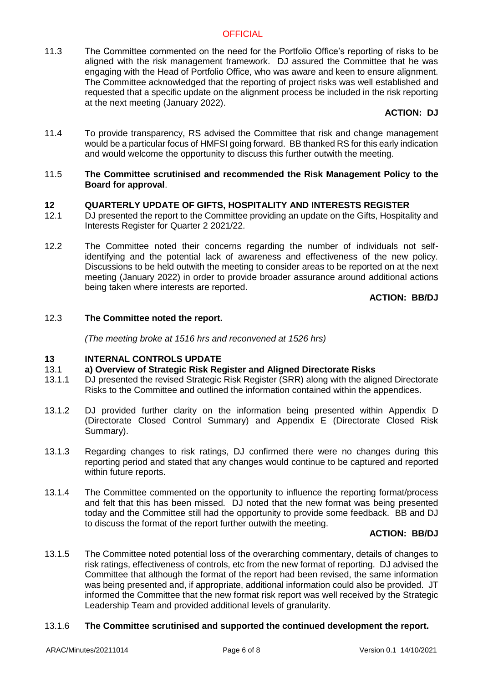11.3 The Committee commented on the need for the Portfolio Office's reporting of risks to be aligned with the risk management framework. DJ assured the Committee that he was engaging with the Head of Portfolio Office, who was aware and keen to ensure alignment. The Committee acknowledged that the reporting of project risks was well established and requested that a specific update on the alignment process be included in the risk reporting at the next meeting (January 2022).

# **ACTION: DJ**

11.4 To provide transparency, RS advised the Committee that risk and change management would be a particular focus of HMFSI going forward. BB thanked RS for this early indication and would welcome the opportunity to discuss this further outwith the meeting.

### 11.5 **The Committee scrutinised and recommended the Risk Management Policy to the Board for approval**.

### **12 QUARTERLY UPDATE OF GIFTS, HOSPITALITY AND INTERESTS REGISTER**

- 12.1 DJ presented the report to the Committee providing an update on the Gifts, Hospitality and Interests Register for Quarter 2 2021/22.
- 12.2 The Committee noted their concerns regarding the number of individuals not selfidentifying and the potential lack of awareness and effectiveness of the new policy. Discussions to be held outwith the meeting to consider areas to be reported on at the next meeting (January 2022) in order to provide broader assurance around additional actions being taken where interests are reported.

**ACTION: BB/DJ**

### 12.3 **The Committee noted the report.**

*(The meeting broke at 1516 hrs and reconvened at 1526 hrs)*

### **13 INTERNAL CONTROLS UPDATE**

#### 13.1 **a) Overview of Strategic Risk Register and Aligned Directorate Risks**

- 13.1.1 DJ presented the revised Strategic Risk Register (SRR) along with the aligned Directorate Risks to the Committee and outlined the information contained within the appendices.
- 13.1.2 DJ provided further clarity on the information being presented within Appendix D (Directorate Closed Control Summary) and Appendix E (Directorate Closed Risk Summary).
- 13.1.3 Regarding changes to risk ratings, DJ confirmed there were no changes during this reporting period and stated that any changes would continue to be captured and reported within future reports.
- 13.1.4 The Committee commented on the opportunity to influence the reporting format/process and felt that this has been missed. DJ noted that the new format was being presented today and the Committee still had the opportunity to provide some feedback. BB and DJ to discuss the format of the report further outwith the meeting.

### **ACTION: BB/DJ**

13.1.5 The Committee noted potential loss of the overarching commentary, details of changes to risk ratings, effectiveness of controls, etc from the new format of reporting. DJ advised the Committee that although the format of the report had been revised, the same information was being presented and, if appropriate, additional information could also be provided. JT informed the Committee that the new format risk report was well received by the Strategic Leadership Team and provided additional levels of granularity.

#### 13.1.6 **The Committee scrutinised and supported the continued development the report.**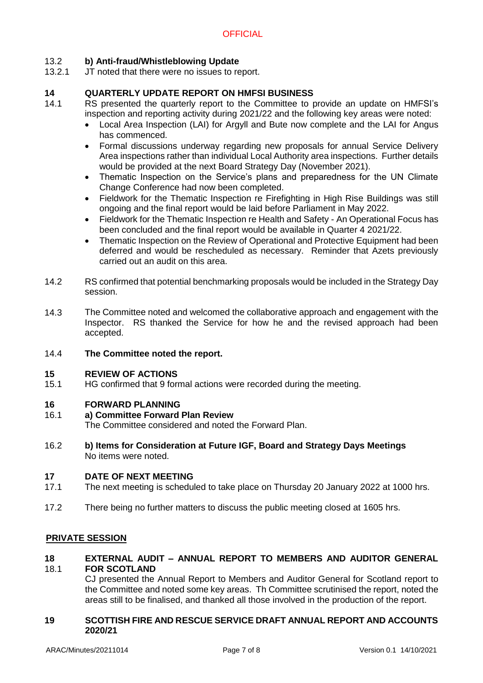### 13.2 **b) Anti-fraud/Whistleblowing Update**

13.2.1 JT noted that there were no issues to report.

### **14 QUARTERLY UPDATE REPORT ON HMFSI BUSINESS**

- 14.1 RS presented the quarterly report to the Committee to provide an update on HMFSI's inspection and reporting activity during 2021/22 and the following key areas were noted:
	- Local Area Inspection (LAI) for Argyll and Bute now complete and the LAI for Angus has commenced.
	- Formal discussions underway regarding new proposals for annual Service Delivery Area inspections rather than individual Local Authority area inspections. Further details would be provided at the next Board Strategy Day (November 2021).
	- Thematic Inspection on the Service's plans and preparedness for the UN Climate Change Conference had now been completed.
	- Fieldwork for the Thematic Inspection re Firefighting in High Rise Buildings was still ongoing and the final report would be laid before Parliament in May 2022.
	- Fieldwork for the Thematic Inspection re Health and Safety An Operational Focus has been concluded and the final report would be available in Quarter 4 2021/22.
	- Thematic Inspection on the Review of Operational and Protective Equipment had been deferred and would be rescheduled as necessary. Reminder that Azets previously carried out an audit on this area.
- 14.2 RS confirmed that potential benchmarking proposals would be included in the Strategy Day session.
- 14.3 The Committee noted and welcomed the collaborative approach and engagement with the Inspector. RS thanked the Service for how he and the revised approach had been accepted.
- 14.4 **The Committee noted the report.**

#### **15 REVIEW OF ACTIONS**

15.1 HG confirmed that 9 formal actions were recorded during the meeting.

### **16 FORWARD PLANNING**

#### 16.1 **a) Committee Forward Plan Review**

The Committee considered and noted the Forward Plan.

16.2 **b) Items for Consideration at Future IGF, Board and Strategy Days Meetings** No items were noted.

### **17 DATE OF NEXT MEETING**

- 17.1 The next meeting is scheduled to take place on Thursday 20 January 2022 at 1000 hrs.
- 17.2 There being no further matters to discuss the public meeting closed at 1605 hrs.

### **PRIVATE SESSION**

### **18** 18.1 **EXTERNAL AUDIT – ANNUAL REPORT TO MEMBERS AND AUDITOR GENERAL FOR SCOTLAND**

CJ presented the Annual Report to Members and Auditor General for Scotland report to the Committee and noted some key areas. Th Committee scrutinised the report, noted the areas still to be finalised, and thanked all those involved in the production of the report.

### **19 SCOTTISH FIRE AND RESCUE SERVICE DRAFT ANNUAL REPORT AND ACCOUNTS 2020/21**